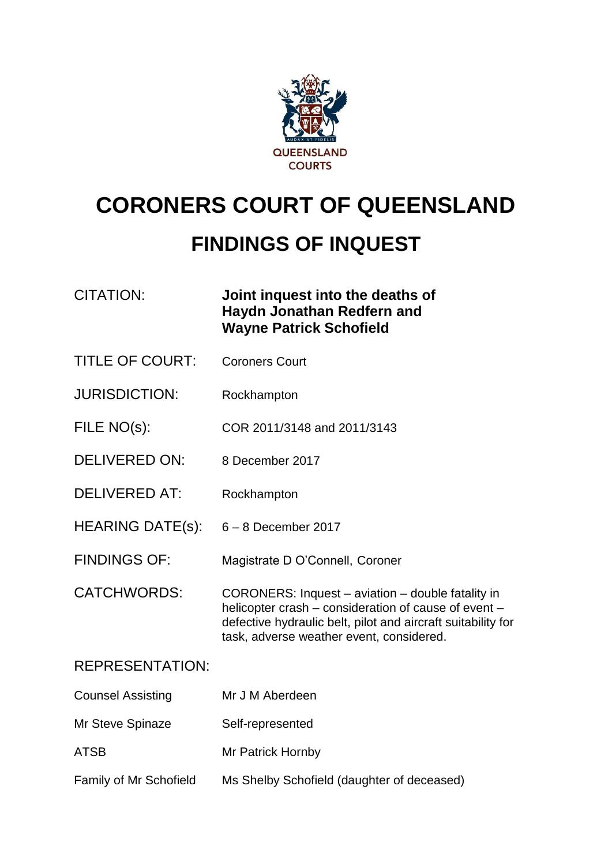

# **CORONERS COURT OF QUEENSLAND**

# **FINDINGS OF INQUEST**

# CITATION: **Joint inquest into the deaths of Haydn Jonathan Redfern and Wayne Patrick Schofield**

- TITLE OF COURT: Coroners Court
- JURISDICTION: Rockhampton
- FILE NO(s): COR 2011/3148 and 2011/3143
- DELIVERED ON: 8 December 2017
- DELIVERED AT: Rockhampton
- HEARING DATE(s): 6 8 December 2017
- FINDINGS OF: Magistrate D O'Connell, Coroner
- CATCHWORDS: CORONERS: Inquest aviation double fatality in helicopter crash – consideration of cause of event – defective hydraulic belt, pilot and aircraft suitability for task, adverse weather event, considered.

#### REPRESENTATION:

Counsel Assisting Mr J M Aberdeen Mr Steve Spinaze Self-represented ATSB Mr Patrick Hornby Family of Mr Schofield Ms Shelby Schofield (daughter of deceased)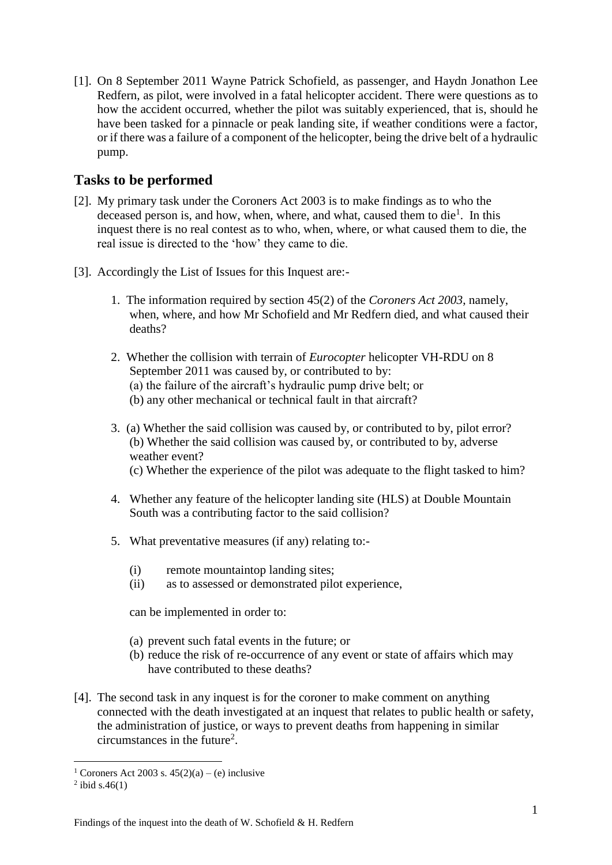[1]. On 8 September 2011 Wayne Patrick Schofield, as passenger, and Haydn Jonathon Lee Redfern, as pilot, were involved in a fatal helicopter accident. There were questions as to how the accident occurred, whether the pilot was suitably experienced, that is, should he have been tasked for a pinnacle or peak landing site, if weather conditions were a factor, or if there was a failure of a component of the helicopter, being the drive belt of a hydraulic pump.

#### **Tasks to be performed**

- [2]. My primary task under the Coroners Act 2003 is to make findings as to who the deceased person is, and how, when, where, and what, caused them to die<sup>1</sup>. In this inquest there is no real contest as to who, when, where, or what caused them to die, the real issue is directed to the 'how' they came to die.
- [3]. Accordingly the List of Issues for this Inquest are:-
	- 1. The information required by section 45(2) of the *Coroners Act 2003*, namely, when, where, and how Mr Schofield and Mr Redfern died, and what caused their deaths?
	- 2. Whether the collision with terrain of *Eurocopter* helicopter VH-RDU on 8 September 2011 was caused by, or contributed to by: (a) the failure of the aircraft's hydraulic pump drive belt; or (b) any other mechanical or technical fault in that aircraft?
	- 3. (a) Whether the said collision was caused by, or contributed to by, pilot error? (b) Whether the said collision was caused by, or contributed to by, adverse weather event? (c) Whether the experience of the pilot was adequate to the flight tasked to him?
	- 4. Whether any feature of the helicopter landing site (HLS) at Double Mountain South was a contributing factor to the said collision?
	- 5. What preventative measures (if any) relating to:-
		- (i) remote mountaintop landing sites;
		- (ii) as to assessed or demonstrated pilot experience,

can be implemented in order to:

- (a) prevent such fatal events in the future; or
- (b) reduce the risk of re-occurrence of any event or state of affairs which may have contributed to these deaths?
- [4]. The second task in any inquest is for the coroner to make comment on anything connected with the death investigated at an inquest that relates to public health or safety, the administration of justice, or ways to prevent deaths from happening in similar  $circumstances$  in the future<sup>2</sup>.

<sup>&</sup>lt;sup>1</sup> Coroners Act 2003 s.  $45(2)(a) - (e)$  inclusive

 $2$  ibid s.46(1)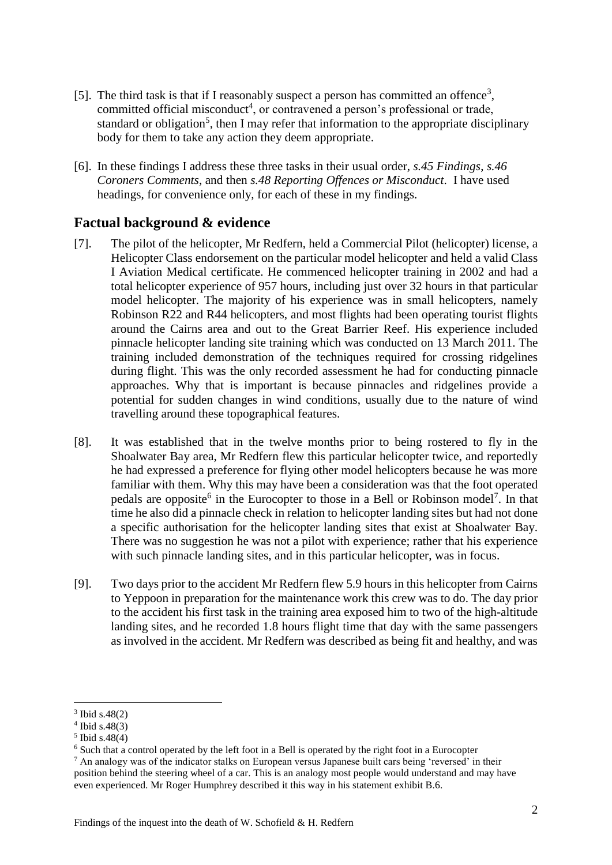- [5]. The third task is that if I reasonably suspect a person has committed an offence<sup>3</sup>, committed official misconduct 4 , or contravened a person's professional or trade, standard or obligation<sup>5</sup>, then I may refer that information to the appropriate disciplinary body for them to take any action they deem appropriate.
- [6]. In these findings I address these three tasks in their usual order, *s.45 Findings*, *s.46 Coroners Comments*, and then *s.48 Reporting Offences or Misconduct*. I have used headings, for convenience only, for each of these in my findings.

#### **Factual background & evidence**

- [7]. The pilot of the helicopter, Mr Redfern, held a Commercial Pilot (helicopter) license, a Helicopter Class endorsement on the particular model helicopter and held a valid Class I Aviation Medical certificate. He commenced helicopter training in 2002 and had a total helicopter experience of 957 hours, including just over 32 hours in that particular model helicopter. The majority of his experience was in small helicopters, namely Robinson R22 and R44 helicopters, and most flights had been operating tourist flights around the Cairns area and out to the Great Barrier Reef. His experience included pinnacle helicopter landing site training which was conducted on 13 March 2011. The training included demonstration of the techniques required for crossing ridgelines during flight. This was the only recorded assessment he had for conducting pinnacle approaches. Why that is important is because pinnacles and ridgelines provide a potential for sudden changes in wind conditions, usually due to the nature of wind travelling around these topographical features.
- [8]. It was established that in the twelve months prior to being rostered to fly in the Shoalwater Bay area, Mr Redfern flew this particular helicopter twice, and reportedly he had expressed a preference for flying other model helicopters because he was more familiar with them. Why this may have been a consideration was that the foot operated pedals are opposite<sup>6</sup> in the Eurocopter to those in a Bell or Robinson model<sup>7</sup>. In that time he also did a pinnacle check in relation to helicopter landing sites but had not done a specific authorisation for the helicopter landing sites that exist at Shoalwater Bay. There was no suggestion he was not a pilot with experience; rather that his experience with such pinnacle landing sites, and in this particular helicopter, was in focus.
- [9]. Two days prior to the accident Mr Redfern flew 5.9 hours in this helicopter from Cairns to Yeppoon in preparation for the maintenance work this crew was to do. The day prior to the accident his first task in the training area exposed him to two of the high-altitude landing sites, and he recorded 1.8 hours flight time that day with the same passengers as involved in the accident. Mr Redfern was described as being fit and healthy, and was

<sup>3</sup> Ibid s.48(2)

<sup>4</sup> Ibid s.48(3)

<sup>5</sup> Ibid s.48(4)

<sup>6</sup> Such that a control operated by the left foot in a Bell is operated by the right foot in a Eurocopter

<sup>7</sup> An analogy was of the indicator stalks on European versus Japanese built cars being 'reversed' in their position behind the steering wheel of a car. This is an analogy most people would understand and may have even experienced. Mr Roger Humphrey described it this way in his statement exhibit B.6.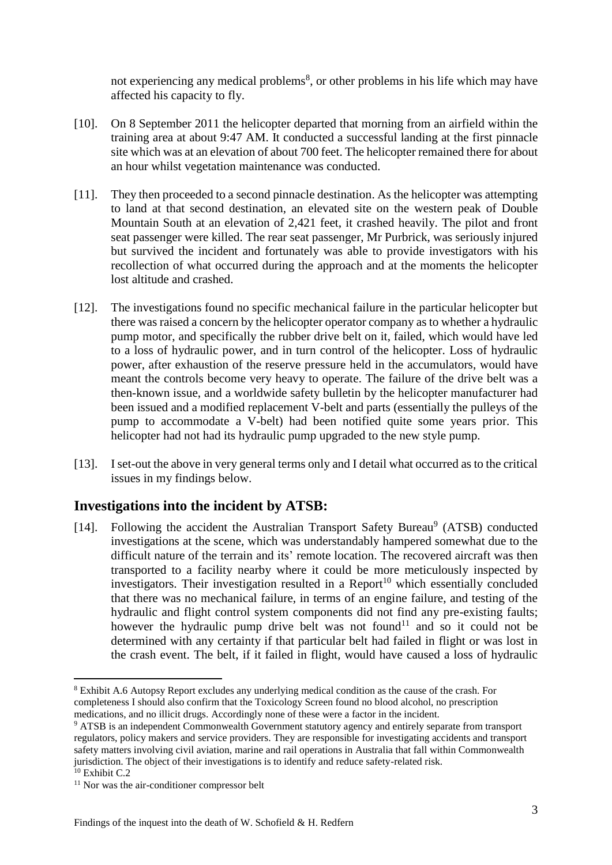not experiencing any medical problems<sup>8</sup>, or other problems in his life which may have affected his capacity to fly.

- [10]. On 8 September 2011 the helicopter departed that morning from an airfield within the training area at about 9:47 AM. It conducted a successful landing at the first pinnacle site which was at an elevation of about 700 feet. The helicopter remained there for about an hour whilst vegetation maintenance was conducted.
- [11]. They then proceeded to a second pinnacle destination. As the helicopter was attempting to land at that second destination, an elevated site on the western peak of Double Mountain South at an elevation of 2,421 feet, it crashed heavily. The pilot and front seat passenger were killed. The rear seat passenger, Mr Purbrick, was seriously injured but survived the incident and fortunately was able to provide investigators with his recollection of what occurred during the approach and at the moments the helicopter lost altitude and crashed.
- [12]. The investigations found no specific mechanical failure in the particular helicopter but there was raised a concern by the helicopter operator company as to whether a hydraulic pump motor, and specifically the rubber drive belt on it, failed, which would have led to a loss of hydraulic power, and in turn control of the helicopter. Loss of hydraulic power, after exhaustion of the reserve pressure held in the accumulators, would have meant the controls become very heavy to operate. The failure of the drive belt was a then-known issue, and a worldwide safety bulletin by the helicopter manufacturer had been issued and a modified replacement V-belt and parts (essentially the pulleys of the pump to accommodate a V-belt) had been notified quite some years prior. This helicopter had not had its hydraulic pump upgraded to the new style pump.
- [13]. I set-out the above in very general terms only and I detail what occurred as to the critical issues in my findings below.

# **Investigations into the incident by ATSB:**

[14]. Following the accident the Australian Transport Safety Bureau<sup>9</sup> (ATSB) conducted investigations at the scene, which was understandably hampered somewhat due to the difficult nature of the terrain and its' remote location. The recovered aircraft was then transported to a facility nearby where it could be more meticulously inspected by investigators. Their investigation resulted in a Report<sup>10</sup> which essentially concluded that there was no mechanical failure, in terms of an engine failure, and testing of the hydraulic and flight control system components did not find any pre-existing faults; however the hydraulic pump drive belt was not found<sup>11</sup> and so it could not be determined with any certainty if that particular belt had failed in flight or was lost in the crash event. The belt, if it failed in flight, would have caused a loss of hydraulic

<u>.</u>

<sup>8</sup> Exhibit A.6 Autopsy Report excludes any underlying medical condition as the cause of the crash. For completeness I should also confirm that the Toxicology Screen found no blood alcohol, no prescription medications, and no illicit drugs. Accordingly none of these were a factor in the incident.

<sup>9</sup> ATSB is an independent Commonwealth Government statutory agency and entirely separate from transport regulators, policy makers and service providers. They are responsible for investigating accidents and transport safety matters involving civil aviation, marine and rail operations in Australia that fall within Commonwealth jurisdiction. The object of their investigations is to identify and reduce safety-related risk.

 $10$  Exhibit C.2.

<sup>11</sup> Nor was the air-conditioner compressor belt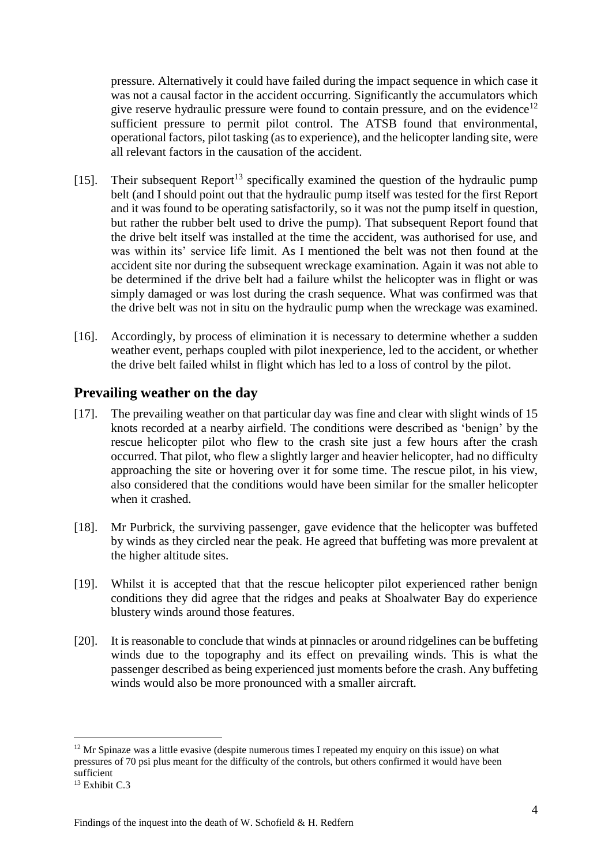pressure. Alternatively it could have failed during the impact sequence in which case it was not a causal factor in the accident occurring. Significantly the accumulators which give reserve hydraulic pressure were found to contain pressure, and on the evidence<sup>12</sup> sufficient pressure to permit pilot control. The ATSB found that environmental, operational factors, pilot tasking (asto experience), and the helicopter landing site, were all relevant factors in the causation of the accident.

- [15]. Their subsequent Report<sup>13</sup> specifically examined the question of the hydraulic pump belt (and I should point out that the hydraulic pump itself was tested for the first Report and it was found to be operating satisfactorily, so it was not the pump itself in question, but rather the rubber belt used to drive the pump). That subsequent Report found that the drive belt itself was installed at the time the accident, was authorised for use, and was within its' service life limit. As I mentioned the belt was not then found at the accident site nor during the subsequent wreckage examination. Again it was not able to be determined if the drive belt had a failure whilst the helicopter was in flight or was simply damaged or was lost during the crash sequence. What was confirmed was that the drive belt was not in situ on the hydraulic pump when the wreckage was examined.
- [16]. Accordingly, by process of elimination it is necessary to determine whether a sudden weather event, perhaps coupled with pilot inexperience, led to the accident, or whether the drive belt failed whilst in flight which has led to a loss of control by the pilot.

#### **Prevailing weather on the day**

- [17]. The prevailing weather on that particular day was fine and clear with slight winds of 15 knots recorded at a nearby airfield. The conditions were described as 'benign' by the rescue helicopter pilot who flew to the crash site just a few hours after the crash occurred. That pilot, who flew a slightly larger and heavier helicopter, had no difficulty approaching the site or hovering over it for some time. The rescue pilot, in his view, also considered that the conditions would have been similar for the smaller helicopter when it crashed.
- [18]. Mr Purbrick, the surviving passenger, gave evidence that the helicopter was buffeted by winds as they circled near the peak. He agreed that buffeting was more prevalent at the higher altitude sites.
- [19]. Whilst it is accepted that that the rescue helicopter pilot experienced rather benign conditions they did agree that the ridges and peaks at Shoalwater Bay do experience blustery winds around those features.
- [20]. It is reasonable to conclude that winds at pinnacles or around ridgelines can be buffeting winds due to the topography and its effect on prevailing winds. This is what the passenger described as being experienced just moments before the crash. Any buffeting winds would also be more pronounced with a smaller aircraft.

 $12$  Mr Spinaze was a little evasive (despite numerous times I repeated my enquiry on this issue) on what pressures of 70 psi plus meant for the difficulty of the controls, but others confirmed it would have been sufficient

<sup>&</sup>lt;sup>13</sup> Exhibit C.3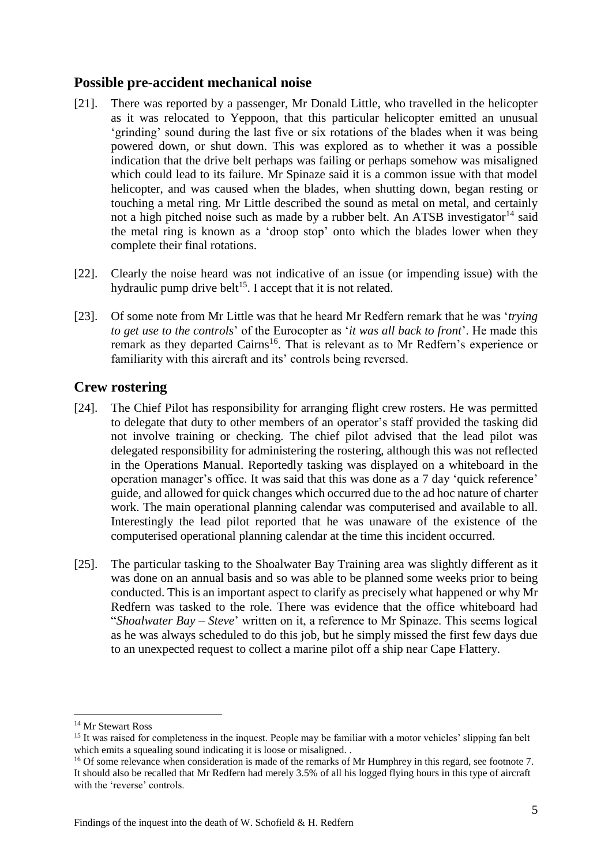#### **Possible pre-accident mechanical noise**

- [21]. There was reported by a passenger, Mr Donald Little, who travelled in the helicopter as it was relocated to Yeppoon, that this particular helicopter emitted an unusual 'grinding' sound during the last five or six rotations of the blades when it was being powered down, or shut down. This was explored as to whether it was a possible indication that the drive belt perhaps was failing or perhaps somehow was misaligned which could lead to its failure. Mr Spinaze said it is a common issue with that model helicopter, and was caused when the blades, when shutting down, began resting or touching a metal ring. Mr Little described the sound as metal on metal, and certainly not a high pitched noise such as made by a rubber belt. An ATSB investigator<sup>14</sup> said the metal ring is known as a 'droop stop' onto which the blades lower when they complete their final rotations.
- [22]. Clearly the noise heard was not indicative of an issue (or impending issue) with the hydraulic pump drive belt<sup>15</sup>. I accept that it is not related.
- [23]. Of some note from Mr Little was that he heard Mr Redfern remark that he was '*trying to get use to the controls*' of the Eurocopter as '*it was all back to front*'. He made this remark as they departed Cairns<sup>16</sup>. That is relevant as to Mr Redfern's experience or familiarity with this aircraft and its' controls being reversed.

#### **Crew rostering**

- [24]. The Chief Pilot has responsibility for arranging flight crew rosters. He was permitted to delegate that duty to other members of an operator's staff provided the tasking did not involve training or checking. The chief pilot advised that the lead pilot was delegated responsibility for administering the rostering, although this was not reflected in the Operations Manual. Reportedly tasking was displayed on a whiteboard in the operation manager's office. It was said that this was done as a 7 day 'quick reference' guide, and allowed for quick changes which occurred due to the ad hoc nature of charter work. The main operational planning calendar was computerised and available to all. Interestingly the lead pilot reported that he was unaware of the existence of the computerised operational planning calendar at the time this incident occurred.
- [25]. The particular tasking to the Shoalwater Bay Training area was slightly different as it was done on an annual basis and so was able to be planned some weeks prior to being conducted. This is an important aspect to clarify as precisely what happened or why Mr Redfern was tasked to the role. There was evidence that the office whiteboard had "*Shoalwater Bay – Steve*' written on it, a reference to Mr Spinaze. This seems logical as he was always scheduled to do this job, but he simply missed the first few days due to an unexpected request to collect a marine pilot off a ship near Cape Flattery.

<sup>14</sup> Mr Stewart Ross

<sup>&</sup>lt;sup>15</sup> It was raised for completeness in the inquest. People may be familiar with a motor vehicles' slipping fan belt which emits a squealing sound indicating it is loose or misaligned.

<sup>&</sup>lt;sup>16</sup> Of some relevance when consideration is made of the remarks of Mr Humphrey in this regard, see footnote 7. It should also be recalled that Mr Redfern had merely 3.5% of all his logged flying hours in this type of aircraft with the 'reverse' controls.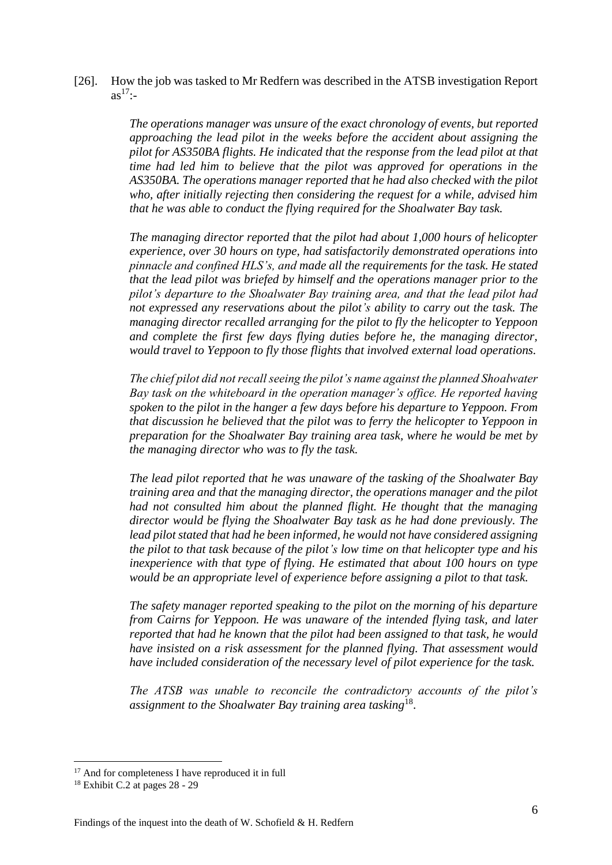[26]. How the job was tasked to Mr Redfern was described in the ATSB investigation Report  $as^{17}$ :-

> *The operations manager was unsure of the exact chronology of events, but reported approaching the lead pilot in the weeks before the accident about assigning the pilot for AS350BA flights. He indicated that the response from the lead pilot at that time had led him to believe that the pilot was approved for operations in the AS350BA. The operations manager reported that he had also checked with the pilot who, after initially rejecting then considering the request for a while, advised him that he was able to conduct the flying required for the Shoalwater Bay task.*

> *The managing director reported that the pilot had about 1,000 hours of helicopter experience, over 30 hours on type, had satisfactorily demonstrated operations into pinnacle and confined HLS's, and made all the requirements for the task. He stated that the lead pilot was briefed by himself and the operations manager prior to the pilot's departure to the Shoalwater Bay training area, and that the lead pilot had not expressed any reservations about the pilot's ability to carry out the task. The managing director recalled arranging for the pilot to fly the helicopter to Yeppoon and complete the first few days flying duties before he, the managing director, would travel to Yeppoon to fly those flights that involved external load operations.*

> *The chief pilot did not recall seeing the pilot's name against the planned Shoalwater Bay task on the whiteboard in the operation manager's office. He reported having spoken to the pilot in the hanger a few days before his departure to Yeppoon. From that discussion he believed that the pilot was to ferry the helicopter to Yeppoon in preparation for the Shoalwater Bay training area task, where he would be met by the managing director who was to fly the task.*

> *The lead pilot reported that he was unaware of the tasking of the Shoalwater Bay training area and that the managing director, the operations manager and the pilot had not consulted him about the planned flight. He thought that the managing director would be flying the Shoalwater Bay task as he had done previously. The lead pilot stated that had he been informed, he would not have considered assigning the pilot to that task because of the pilot's low time on that helicopter type and his inexperience with that type of flying. He estimated that about 100 hours on type would be an appropriate level of experience before assigning a pilot to that task.*

> *The safety manager reported speaking to the pilot on the morning of his departure from Cairns for Yeppoon. He was unaware of the intended flying task, and later reported that had he known that the pilot had been assigned to that task, he would have insisted on a risk assessment for the planned flying. That assessment would have included consideration of the necessary level of pilot experience for the task.*

> *The ATSB was unable to reconcile the contradictory accounts of the pilot's assignment to the Shoalwater Bay training area tasking*<sup>18</sup> .

<sup>&</sup>lt;sup>17</sup> And for completeness I have reproduced it in full

<sup>18</sup> Exhibit C.2 at pages 28 - 29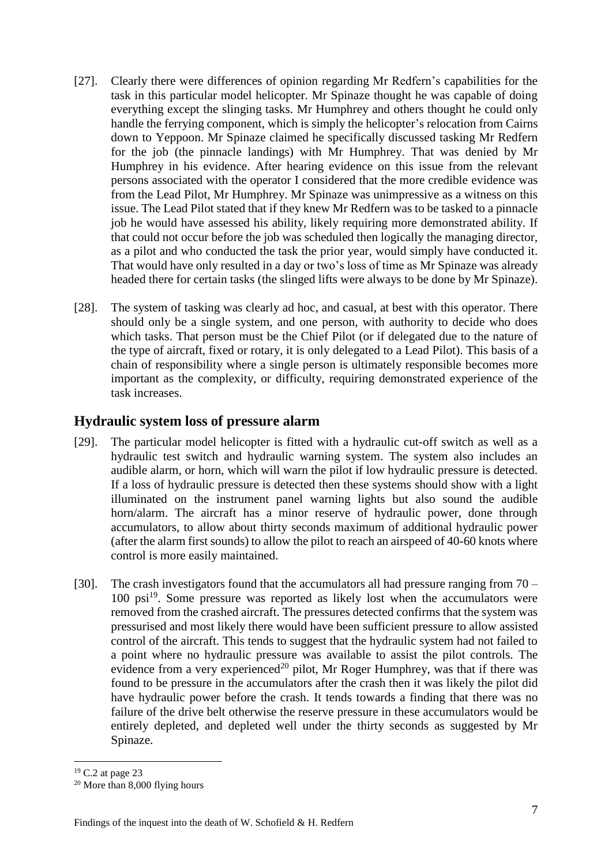- [27]. Clearly there were differences of opinion regarding Mr Redfern's capabilities for the task in this particular model helicopter. Mr Spinaze thought he was capable of doing everything except the slinging tasks. Mr Humphrey and others thought he could only handle the ferrying component, which is simply the helicopter's relocation from Cairns down to Yeppoon. Mr Spinaze claimed he specifically discussed tasking Mr Redfern for the job (the pinnacle landings) with Mr Humphrey. That was denied by Mr Humphrey in his evidence. After hearing evidence on this issue from the relevant persons associated with the operator I considered that the more credible evidence was from the Lead Pilot, Mr Humphrey. Mr Spinaze was unimpressive as a witness on this issue. The Lead Pilot stated that if they knew Mr Redfern was to be tasked to a pinnacle job he would have assessed his ability, likely requiring more demonstrated ability. If that could not occur before the job was scheduled then logically the managing director, as a pilot and who conducted the task the prior year, would simply have conducted it. That would have only resulted in a day or two's loss of time as Mr Spinaze was already headed there for certain tasks (the slinged lifts were always to be done by Mr Spinaze).
- [28]. The system of tasking was clearly ad hoc, and casual, at best with this operator. There should only be a single system, and one person, with authority to decide who does which tasks. That person must be the Chief Pilot (or if delegated due to the nature of the type of aircraft, fixed or rotary, it is only delegated to a Lead Pilot). This basis of a chain of responsibility where a single person is ultimately responsible becomes more important as the complexity, or difficulty, requiring demonstrated experience of the task increases.

#### **Hydraulic system loss of pressure alarm**

- [29]. The particular model helicopter is fitted with a hydraulic cut-off switch as well as a hydraulic test switch and hydraulic warning system. The system also includes an audible alarm, or horn, which will warn the pilot if low hydraulic pressure is detected. If a loss of hydraulic pressure is detected then these systems should show with a light illuminated on the instrument panel warning lights but also sound the audible horn/alarm. The aircraft has a minor reserve of hydraulic power, done through accumulators, to allow about thirty seconds maximum of additional hydraulic power (after the alarm first sounds) to allow the pilot to reach an airspeed of 40-60 knots where control is more easily maintained.
- [30]. The crash investigators found that the accumulators all had pressure ranging from  $70 -$ 100 psi<sup>19</sup>. Some pressure was reported as likely lost when the accumulators were removed from the crashed aircraft. The pressures detected confirms that the system was pressurised and most likely there would have been sufficient pressure to allow assisted control of the aircraft. This tends to suggest that the hydraulic system had not failed to a point where no hydraulic pressure was available to assist the pilot controls. The evidence from a very experienced<sup>20</sup> pilot, Mr Roger Humphrey, was that if there was found to be pressure in the accumulators after the crash then it was likely the pilot did have hydraulic power before the crash. It tends towards a finding that there was no failure of the drive belt otherwise the reserve pressure in these accumulators would be entirely depleted, and depleted well under the thirty seconds as suggested by Mr Spinaze.

 $19$  C.2 at page 23

<sup>20</sup> More than 8,000 flying hours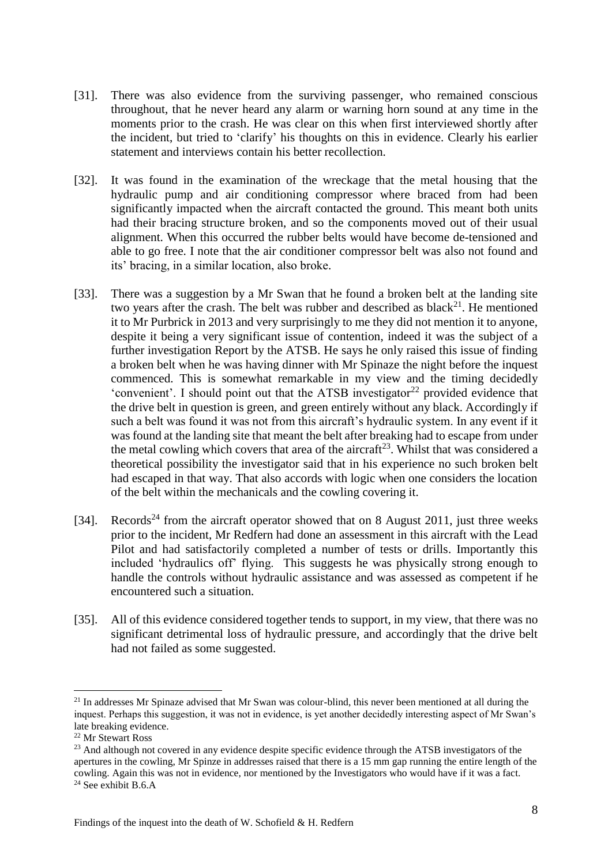- [31]. There was also evidence from the surviving passenger, who remained conscious throughout, that he never heard any alarm or warning horn sound at any time in the moments prior to the crash. He was clear on this when first interviewed shortly after the incident, but tried to 'clarify' his thoughts on this in evidence. Clearly his earlier statement and interviews contain his better recollection.
- [32]. It was found in the examination of the wreckage that the metal housing that the hydraulic pump and air conditioning compressor where braced from had been significantly impacted when the aircraft contacted the ground. This meant both units had their bracing structure broken, and so the components moved out of their usual alignment. When this occurred the rubber belts would have become de-tensioned and able to go free. I note that the air conditioner compressor belt was also not found and its' bracing, in a similar location, also broke.
- [33]. There was a suggestion by a Mr Swan that he found a broken belt at the landing site two years after the crash. The belt was rubber and described as black<sup>21</sup>. He mentioned it to Mr Purbrick in 2013 and very surprisingly to me they did not mention it to anyone, despite it being a very significant issue of contention, indeed it was the subject of a further investigation Report by the ATSB. He says he only raised this issue of finding a broken belt when he was having dinner with Mr Spinaze the night before the inquest commenced. This is somewhat remarkable in my view and the timing decidedly 'convenient'. I should point out that the ATSB investigator<sup>22</sup> provided evidence that the drive belt in question is green, and green entirely without any black. Accordingly if such a belt was found it was not from this aircraft's hydraulic system. In any event if it was found at the landing site that meant the belt after breaking had to escape from under the metal cowling which covers that area of the aircraft<sup>23</sup>. Whilst that was considered a theoretical possibility the investigator said that in his experience no such broken belt had escaped in that way. That also accords with logic when one considers the location of the belt within the mechanicals and the cowling covering it.
- [34]. Records<sup>24</sup> from the aircraft operator showed that on 8 August 2011, just three weeks prior to the incident, Mr Redfern had done an assessment in this aircraft with the Lead Pilot and had satisfactorily completed a number of tests or drills. Importantly this included 'hydraulics off' flying. This suggests he was physically strong enough to handle the controls without hydraulic assistance and was assessed as competent if he encountered such a situation.
- [35]. All of this evidence considered together tends to support, in my view, that there was no significant detrimental loss of hydraulic pressure, and accordingly that the drive belt had not failed as some suggested.

<sup>&</sup>lt;sup>21</sup> In addresses Mr Spinaze advised that Mr Swan was colour-blind, this never been mentioned at all during the inquest. Perhaps this suggestion, it was not in evidence, is yet another decidedly interesting aspect of Mr Swan's late breaking evidence.

<sup>22</sup> Mr Stewart Ross

<sup>&</sup>lt;sup>23</sup> And although not covered in any evidence despite specific evidence through the ATSB investigators of the apertures in the cowling, Mr Spinze in addresses raised that there is a 15 mm gap running the entire length of the cowling. Again this was not in evidence, nor mentioned by the Investigators who would have if it was a fact.  $24$  See exhibit B.6.A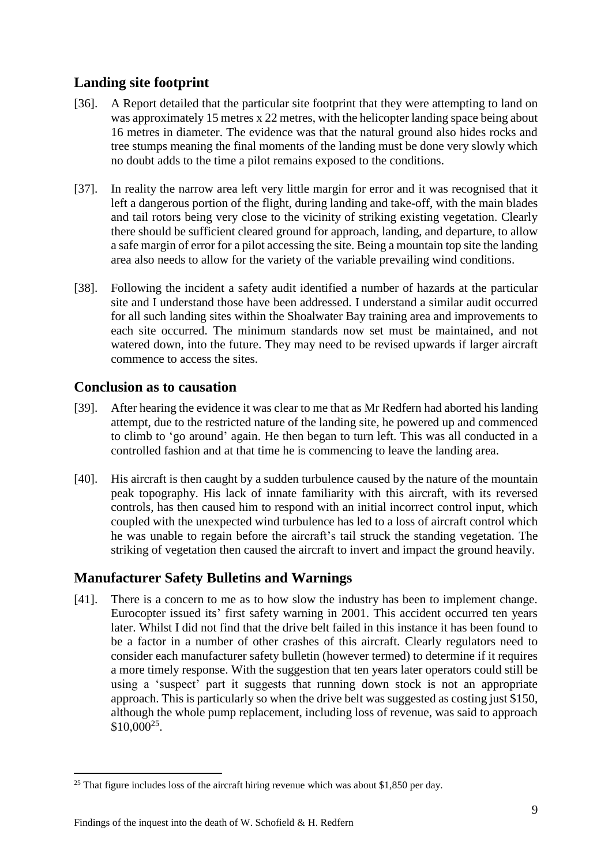# **Landing site footprint**

- [36]. A Report detailed that the particular site footprint that they were attempting to land on was approximately 15 metres x 22 metres, with the helicopter landing space being about 16 metres in diameter. The evidence was that the natural ground also hides rocks and tree stumps meaning the final moments of the landing must be done very slowly which no doubt adds to the time a pilot remains exposed to the conditions.
- [37]. In reality the narrow area left very little margin for error and it was recognised that it left a dangerous portion of the flight, during landing and take-off, with the main blades and tail rotors being very close to the vicinity of striking existing vegetation. Clearly there should be sufficient cleared ground for approach, landing, and departure, to allow a safe margin of error for a pilot accessing the site. Being a mountain top site the landing area also needs to allow for the variety of the variable prevailing wind conditions.
- [38]. Following the incident a safety audit identified a number of hazards at the particular site and I understand those have been addressed. I understand a similar audit occurred for all such landing sites within the Shoalwater Bay training area and improvements to each site occurred. The minimum standards now set must be maintained, and not watered down, into the future. They may need to be revised upwards if larger aircraft commence to access the sites.

#### **Conclusion as to causation**

- [39]. After hearing the evidence it was clear to me that as Mr Redfern had aborted his landing attempt, due to the restricted nature of the landing site, he powered up and commenced to climb to 'go around' again. He then began to turn left. This was all conducted in a controlled fashion and at that time he is commencing to leave the landing area.
- [40]. His aircraft is then caught by a sudden turbulence caused by the nature of the mountain peak topography. His lack of innate familiarity with this aircraft, with its reversed controls, has then caused him to respond with an initial incorrect control input, which coupled with the unexpected wind turbulence has led to a loss of aircraft control which he was unable to regain before the aircraft's tail struck the standing vegetation. The striking of vegetation then caused the aircraft to invert and impact the ground heavily.

# **Manufacturer Safety Bulletins and Warnings**

[41]. There is a concern to me as to how slow the industry has been to implement change. Eurocopter issued its' first safety warning in 2001. This accident occurred ten years later. Whilst I did not find that the drive belt failed in this instance it has been found to be a factor in a number of other crashes of this aircraft. Clearly regulators need to consider each manufacturer safety bulletin (however termed) to determine if it requires a more timely response. With the suggestion that ten years later operators could still be using a 'suspect' part it suggests that running down stock is not an appropriate approach. This is particularly so when the drive belt was suggested as costing just \$150, although the whole pump replacement, including loss of revenue, was said to approach  $$10,000^{25}.$ 

<sup>&</sup>lt;sup>25</sup> That figure includes loss of the aircraft hiring revenue which was about \$1,850 per day.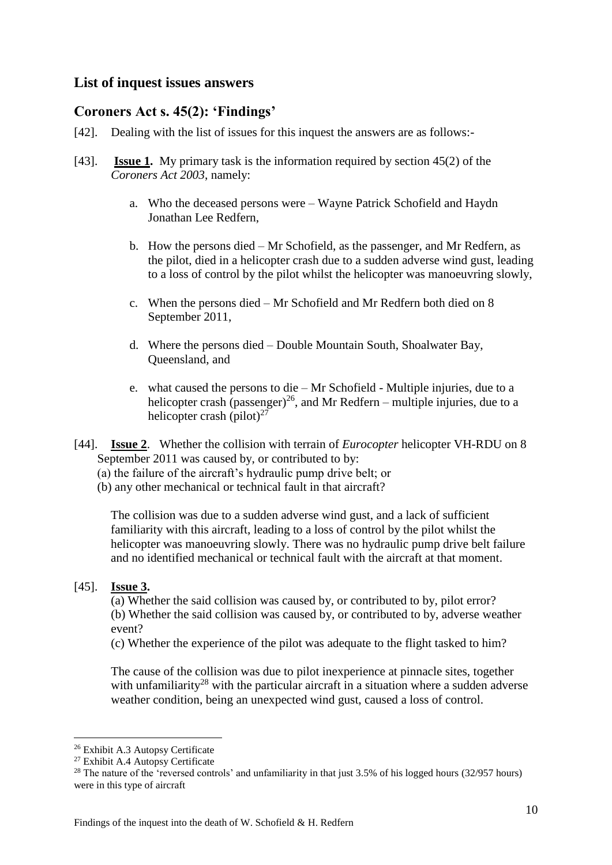#### **List of inquest issues answers**

#### **Coroners Act s. 45(2): 'Findings'**

- [42]. Dealing with the list of issues for this inquest the answers are as follows:-
- [43]. **Issue 1.** My primary task is the information required by section 45(2) of the *Coroners Act 2003*, namely:
	- a. Who the deceased persons were Wayne Patrick Schofield and Haydn Jonathan Lee Redfern,
	- b. How the persons died Mr Schofield, as the passenger, and Mr Redfern, as the pilot, died in a helicopter crash due to a sudden adverse wind gust, leading to a loss of control by the pilot whilst the helicopter was manoeuvring slowly,
	- c. When the persons died Mr Schofield and Mr Redfern both died on 8 September 2011,
	- d. Where the persons died Double Mountain South, Shoalwater Bay, Queensland, and
	- e. what caused the persons to die Mr Schofield Multiple injuries, due to a helicopter crash (passenger)<sup>26</sup>, and Mr Redfern – multiple injuries, due to a helicopter crash (pilot) $27$
- [44]. **Issue 2**. Whether the collision with terrain of *Eurocopter* helicopter VH-RDU on 8 September 2011 was caused by, or contributed to by:
	- (a) the failure of the aircraft's hydraulic pump drive belt; or
	- (b) any other mechanical or technical fault in that aircraft?

The collision was due to a sudden adverse wind gust, and a lack of sufficient familiarity with this aircraft, leading to a loss of control by the pilot whilst the helicopter was manoeuvring slowly. There was no hydraulic pump drive belt failure and no identified mechanical or technical fault with the aircraft at that moment.

#### [45]. **Issue 3.**

1

(a) Whether the said collision was caused by, or contributed to by, pilot error? (b) Whether the said collision was caused by, or contributed to by, adverse weather event?

(c) Whether the experience of the pilot was adequate to the flight tasked to him?

The cause of the collision was due to pilot inexperience at pinnacle sites, together with unfamiliarity<sup>28</sup> with the particular aircraft in a situation where a sudden adverse weather condition, being an unexpected wind gust, caused a loss of control.

<sup>26</sup> Exhibit A.3 Autopsy Certificate

<sup>&</sup>lt;sup>27</sup> Exhibit A.4 Autopsy Certificate

<sup>&</sup>lt;sup>28</sup> The nature of the 'reversed controls' and unfamiliarity in that just  $3.5\%$  of his logged hours ( $32/957$  hours) were in this type of aircraft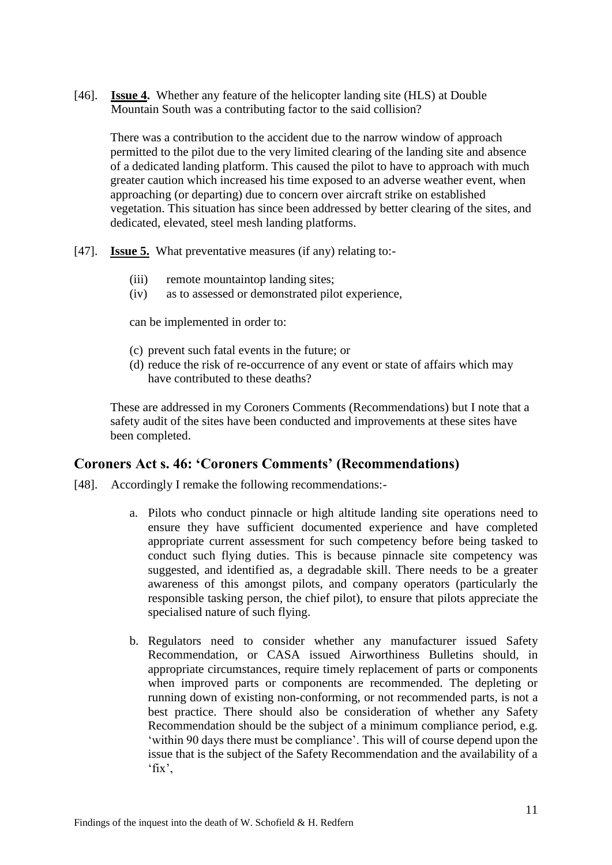[46]. **Issue 4.** Whether any feature of the helicopter landing site (HLS) at Double Mountain South was a contributing factor to the said collision?

There was a contribution to the accident due to the narrow window of approach permitted to the pilot due to the very limited clearing of the landing site and absence of a dedicated landing platform. This caused the pilot to have to approach with much greater caution which increased his time exposed to an adverse weather event, when approaching (or departing) due to concern over aircraft strike on established vegetation. This situation has since been addressed by better clearing of the sites, and dedicated, elevated, steel mesh landing platforms.

- [47]. **Issue 5.** What preventative measures (if any) relating to:-
	- (iii) remote mountaintop landing sites;
	- (iv) as to assessed or demonstrated pilot experience,

can be implemented in order to:

- (c) prevent such fatal events in the future; or
- (d) reduce the risk of re-occurrence of any event or state of affairs which may have contributed to these deaths?

These are addressed in my Coroners Comments (Recommendations) but I note that a safety audit of the sites have been conducted and improvements at these sites have been completed.

#### **Coroners Act s. 46: 'Coroners Comments' (Recommendations)**

- [48]. Accordingly I remake the following recommendations:
	- a. Pilots who conduct pinnacle or high altitude landing site operations need to ensure they have sufficient documented experience and have completed appropriate current assessment for such competency before being tasked to conduct such flying duties. This is because pinnacle site competency was suggested, and identified as, a degradable skill. There needs to be a greater awareness of this amongst pilots, and company operators (particularly the responsible tasking person, the chief pilot), to ensure that pilots appreciate the specialised nature of such flying.
	- b. Regulators need to consider whether any manufacturer issued Safety Recommendation, or CASA issued Airworthiness Bulletins should, in appropriate circumstances, require timely replacement of parts or components when improved parts or components are recommended. The depleting or running down of existing non-conforming, or not recommended parts, is not a best practice. There should also be consideration of whether any Safety Recommendation should be the subject of a minimum compliance period, e.g. 'within 90 days there must be compliance'. This will of course depend upon the issue that is the subject of the Safety Recommendation and the availability of a 'fix',